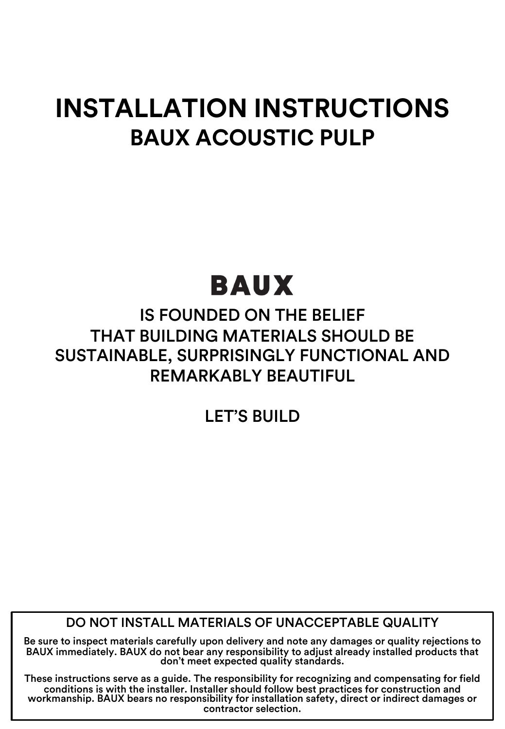### **INSTALLATION INSTRUCTIONS BAUX ACOUSTIC PULP**

# BAUX

### IS FOUNDED ON THE BELIEF THAT BUILDING MATERIALS SHOULD BE SUSTAINABLE, SURPRISINGLY FUNCTIONAL AND REMARKABLY BEAUTIFUL

LET'S BUILD

DO NOT INSTALL MATERIALS OF UNACCEPTABLE QUALITY

Be sure to inspect materials carefully upon delivery and note any damages or quality rejections to BAUX immediately. BAUX do not bear any responsibility to adjust already installed products that don't meet expected quality standards.

These instructions serve as a guide. The responsibility for recognizing and compensating for field workmanship. BAUX bears no responsibility for installation safety, direct or indirect damages or contractor selection.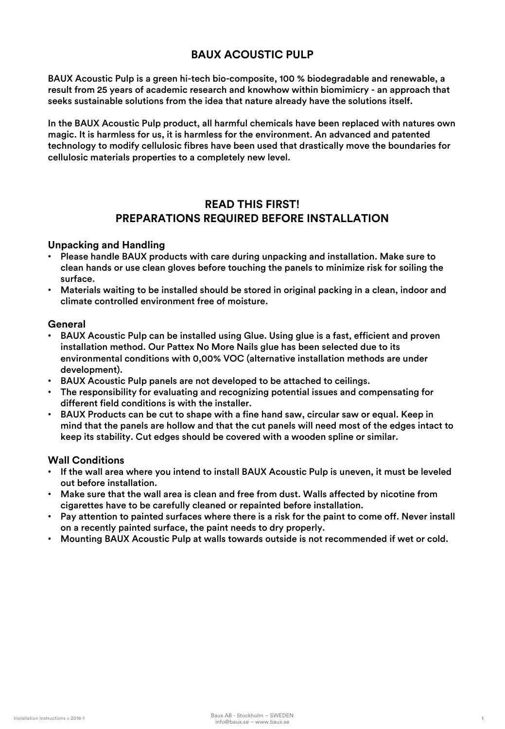#### **BAUX ACOUSTIC PULP**

BAUX Acoustic Pulp is a green hi-tech bio-composite, 100 % biodegradable and renewable, a result from 25 years of academic research and knowhow within biomimicry - an approach that seeks sustainable solutions from the idea that nature already have the solutions itself.

In the BAUX Acoustic Pulp product, all harmful chemicals have been replaced with natures own magic. It is harmless for us, it is harmless for the environment. An advanced and patented technology to modify cellulosic fibres have been used that drastically move the boundaries for cellulosic materials properties to a completely new level.

#### **READ THIS FIRST! PREPARATIONS REQUIRED BEFORE INSTALLATION**

#### **Unpacking and Handling**

- Please handle BAUX products with care during unpacking and installation. Make sure to clean hands or use clean gloves before touching the panels to minimize risk for soiling the surface.
- Materials waiting to be installed should be stored in original packing in a clean, indoor and climate controlled environment free of moisture.

#### **General**

- BAUX Acoustic Pulp can be installed using Glue. Using glue is a fast, efficient and proven installation method. Our Pattex No More Nails glue has been selected due to its environmental conditions with 0,00% VOC (alternative installation methods are under development).
- BAUX Acoustic Pulp panels are not developed to be attached to ceilings.
- The responsibility for evaluating and recognizing potential issues and compensating for different field conditions is with the installer.
- BAUX Products can be cut to shape with a fine hand saw, circular saw or equal. Keep in mind that the panels are hollow and that the cut panels will need most of the edges intact to keep its stability. Cut edges should be covered with a wooden spline or similar.

#### **Wall Conditions**

- If the wall area where you intend to install BAUX Acoustic Pulp is uneven, it must be leveled out before installation.
- Make sure that the wall area is clean and free from dust. Walls affected by nicotine from cigarettes have to be carefully cleaned or repainted before installation.
- Pay attention to painted surfaces where there is a risk for the paint to come off. Never install on a recently painted surface, the paint needs to dry properly.
- Mounting BAUX Acoustic Pulp at walls towards outside is not recommended if wet or cold.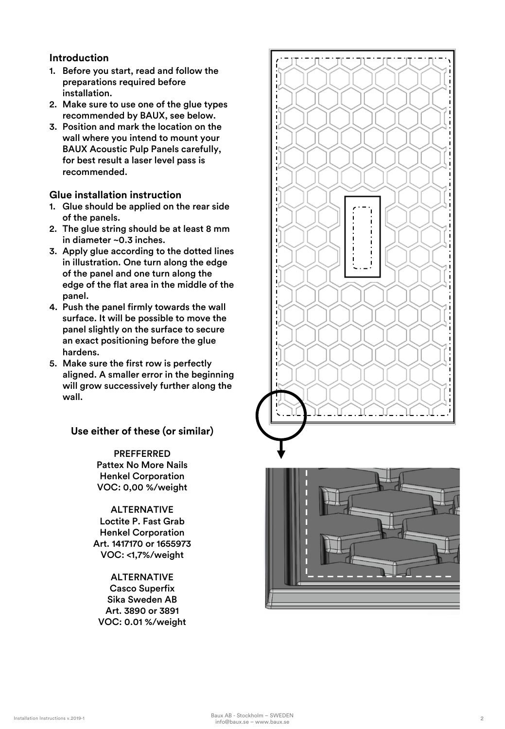#### **Introduction**

- 1. Before you start, read and follow the preparations required before installation.
- 2. Make sure to use one of the glue types recommended by BAUX, see below.
- 3. Position and mark the location on the wall where you intend to mount your BAUX Acoustic Pulp Panels carefully, for best result a laser level pass is recommended.

#### **Glue installation instruction**

- 1. Glue should be applied on the rear side of the panels.
- 2. The glue string should be at least 8 mm in diameter ~0.3 inches.
- 3. Apply glue according to the dotted lines in illustration. One turn along the edge of the panel and one turn along the edge of the flat area in the middle of the panel.
- 4. Push the panel firmly towards the wall surface. It will be possible to move the panel slightly on the surface to secure an exact positioning before the glue hardens.
- 5. Make sure the first row is perfectly aligned. A smaller error in the beginning will grow successively further along the wall.

#### **Use either of these (or similar)**

PREFFERRED Pattex No More Nails Henkel Corporation VOC: 0,00 %/weight

ALTERNATIVE Loctite P. Fast Grab Henkel Corporation Art. 1417170 or 1655973 VOC: <1,7%/weight

ALTERNATIVE Casco Superfix Sika Sweden AB Art. 3890 or 3891 VOC: 0.01 %/weight